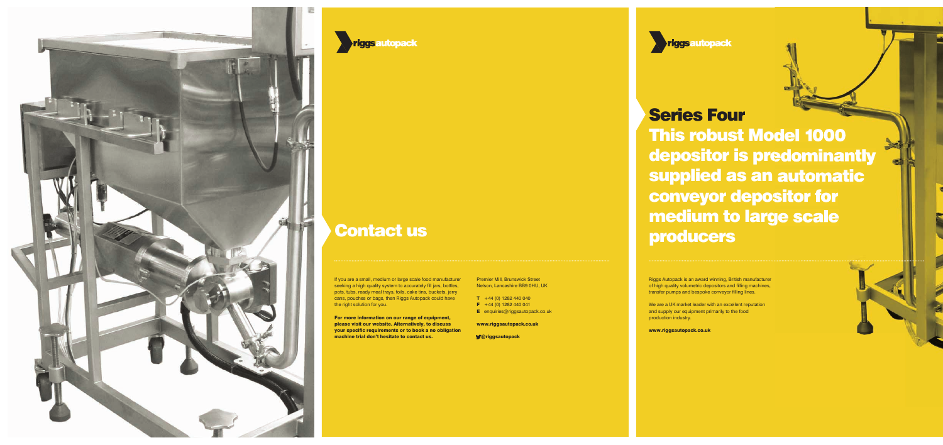## Series Four

Riggs Autopack is an award winning, British manufacturer of high quality volumetric depositors and filling machines, transfer pumps and bespoke conveyor filling lines.

This robust Model 1000 depositor is predominantly supplied as an automatic conveyor depositor for medium to large scale producers

We are a UK market leader with an excellent reputation and supply our equipment primarily to the food production industry.

If you are a small, medium or large scale food manufacturer seeking a high quality system to accurately fill jars, bottles, pots, tubs, ready meal trays, foils, cake tins, buckets, jerry cans, pouches or bags, then Riggs Autopack could have the right solution for you.

www.riggsautopack.co.uk





## Contact us

For more information on our range of equipment, please visit our website. Alternatively, to discuss your specific requirements or to book a no obligation machine trial don't hesitate to contact us.

Premier Mill, Brunswick Street Nelson, Lancashire BB9 0HU, UK

- $T + 44 (0) 1282 440 040$
- $F +44 (0) 1282 440 041$
- **E** enquiries@riggsautopack.co.uk

www.riggsautopack.co.uk

@riggsautopack

**Triggsautopack**